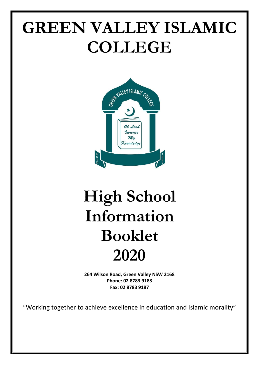# **GREEN VALLEY ISLAMIC COLLEGE**



# **High School Information Booklet 2020**

**264 Wilson Road, Green Valley NSW 2168 Phone: 02 8783 9188 Fax: 02 8783 9187**

"Working together to achieve excellence in education and Islamic morality"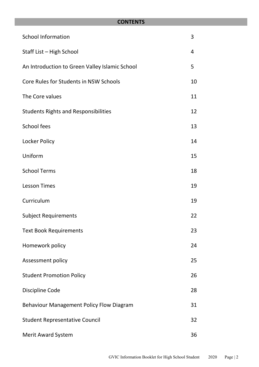# **CONTENTS**

| <b>School Information</b>                       | 3  |
|-------------------------------------------------|----|
| Staff List - High School                        | 4  |
| An Introduction to Green Valley Islamic School  | 5  |
| Core Rules for Students in NSW Schools          | 10 |
| The Core values                                 | 11 |
| <b>Students Rights and Responsibilities</b>     | 12 |
| School fees                                     | 13 |
| Locker Policy                                   | 14 |
| Uniform                                         | 15 |
| <b>School Terms</b>                             | 18 |
| <b>Lesson Times</b>                             | 19 |
| Curriculum                                      | 19 |
| <b>Subject Requirements</b>                     | 22 |
| <b>Text Book Requirements</b>                   | 23 |
| Homework policy                                 | 24 |
| Assessment policy                               | 25 |
| <b>Student Promotion Policy</b>                 | 26 |
| Discipline Code                                 | 28 |
| <b>Behaviour Management Policy Flow Diagram</b> | 31 |
| <b>Student Representative Council</b>           | 32 |
| <b>Merit Award System</b>                       | 36 |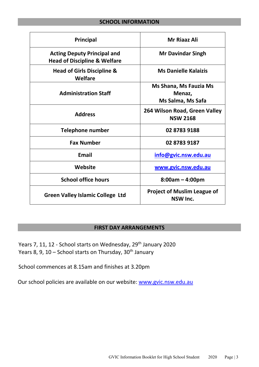# **SCHOOL INFORMATION**

<span id="page-2-0"></span>

| Principal                                                                     | <b>Mr Riaaz Ali</b>                                          |
|-------------------------------------------------------------------------------|--------------------------------------------------------------|
| <b>Acting Deputy Principal and</b><br><b>Head of Discipline &amp; Welfare</b> | <b>Mr Davindar Singh</b>                                     |
| <b>Head of Girls Discipline &amp;</b><br>Welfare                              | <b>Ms Danielle Kalaizis</b>                                  |
| <b>Administration Staff</b>                                                   | <b>Ms Shana, Ms Fauzia Ms</b><br>Menaz,<br>Ms Salma, Ms Safa |
| <b>Address</b>                                                                | 264 Wilson Road, Green Valley<br><b>NSW 2168</b>             |
| <b>Telephone number</b>                                                       | 02 8783 9188                                                 |
| <b>Fax Number</b>                                                             | 02 8783 9187                                                 |
| <b>Email</b>                                                                  | info@gvic.nsw.edu.au                                         |
| Website                                                                       | <u>www.gvic.nsw.edu.au</u>                                   |
| <b>School office hours</b>                                                    | $8:00am - 4:00pm$                                            |
| <b>Green Valley Islamic College Ltd</b>                                       | <b>Project of Muslim League of</b><br>NSW Inc.               |

# **FIRST DAY ARRANGEMENTS**

Years 7, 11, 12 - School starts on Wednesday, 29<sup>th</sup> January 2020 Years 8, 9, 10 – School starts on Thursday, 30<sup>th</sup> January

School commences at 8.15am and finishes at 3.20pm

Our school policies are available on our website: [www.gvic.nsw.edu.au](http://www.gvic.nsw.edu.au/)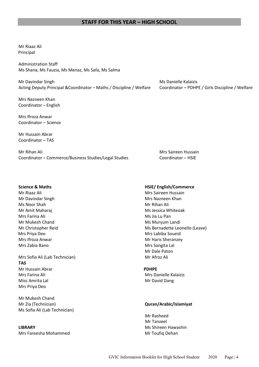# **STAFF FOR THIS YEAR – HIGH SCHOOL**

Mr Riaaz Ali Principal

Administration Staff Ms Shana, Ms Fauzia, Ms Menaz, Ms Safa, Ms Salma

Mr Davindar Singh Ms Danielle Kalaizis and Mr David Danielle Kalaizis and Mr David Danielle Kalaizis Acting Deputy Principal &Coordinator – Maths / Discipline / Welfare Coordinator – PDHPE / Girls Discipline / Welfare

Mrs Nazneen Khan Coordinator – English

Mrs Ifroza Anwar Coordinator – Science

Mr Hussain Abrar Coordinator – TAS

Mr Rihan Ali Mrs Saireen Hussain Coordinator – Commerce/Business Studies/Legal Studies Coordinator – HSIE

- Mr Davindar Singh Mrs Nazneen Khan Ms Noor Shah Mr Rihan Ali Mr Amit Maharaj Ms Jessica Whiteoak Mrs Farina Ali Ms Jia Lu Pan Mr Mukesh Chand Ms Muryum Landi Mrs Priya Deo **Mrs Labiba Soueid** Mrs Labiba Soueid Mrs Ifroza Anwar Mrs Ifroza Anwar Mrs Ifroza Anwar Mrs Ifroza Anwar Mrs Ifroza Anwar Mrs Ifroza Anwar Mrs Ifro Mrs Zabia Bano **Mrs Sangita Lal**
- Mrs Sofia Ali (Lab Technician) Mrs Sofia Ali (Lab Technician) **TAS**  Mr Hussain Abrar **PDHPE** Mrs Farina Ali Mrs Danielle Kalaizis Miss Amrita Lal **Mr David Dang** Mrs Priya Deo

Mr Mukesh Chand Mr Zia (Technician) **Quran/Arabic/Islamiyat** Ms Sofia Ali (Lab Technician)

Mrs Fareesha Mohammed Mrs Fareesha Mohammed Mrs Fareesha Mohammed Mrs Fareesha Mrs Toufiq Dehan

### **Science & Maths HSIE/ English/Commerce**

Mr Riaaz Ali Mrs Saireen Hussain Mr Christopher Reid Ms Bernadette Leonello (Leave) Mr Dale Paton

 Mr Rasheed Mr Tanzeel **LIBRARY** Ms Shireen Hawashin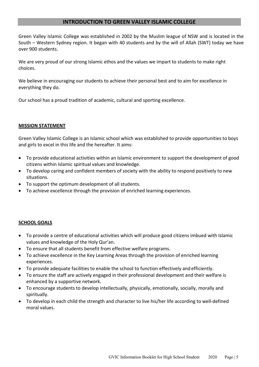# **INTRODUCTION TO GREEN VALLEY ISLAMIC COLLEGE**

Green Valley Islamic College was established in 2002 by the Muslim league of NSW and is located in the South – Western Sydney region. It began with 40 students and by the will of Allah (SWT) today we have over 900 students.

We are very proud of our strong Islamic ethos and the values we impart to students to make right choices.

We believe in encouraging our students to achieve their personal best and to aim for excellence in everything they do.

Our school has a proud tradition of academic, cultural and sporting excellence.

# **MISSION STATEMENT**

Green Valley Islamic College is an Islamic school which was established to provide opportunities to boys and girls to excel in this life and the hereafter. It aims:

- To provide educational activities within an Islamic environment to support the development of good citizens within Islamic spiritual values and knowledge.
- To develop caring and confident members of society with the ability to respond positively to new situations.
- To support the optimum development of all students.
- To achieve excellence through the provision of enriched learning experiences.

# **SCHOOL GOALS**

- To provide a centre of educational activities which will produce good citizens imbued with Islamic values and knowledge of the Holy Qur'an.
- To ensure that all students benefit from effective welfare programs.
- To achieve excellence in the Key Learning Areas through the provision of enriched learning experiences.
- To provide adequate facilities to enable the school to function effectively and efficiently.
- To ensure the staff are actively engaged in their professional development and their welfare is enhanced by a supportive network.
- To encourage students to develop intellectually, physically, emotionally, socially, morally and spiritually.
- To develop in each child the strength and character to live his/her life according to well-defined moral values.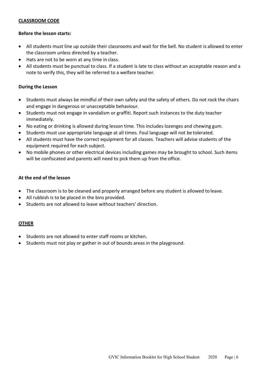# **CLASSROOM CODE**

# **Before the lesson starts:**

- All students must line up outside their classrooms and wait for the bell. No student is allowed to enter the classroom unless directed by a teacher.
- Hats are not to be worn at any time in class.
- All students must be punctual to class. If a student is late to class without an acceptable reason and a note to verify this, they will be referred to a welfare teacher.

# **During the Lesson**

- Students must always be mindful of their own safety and the safety of others. Do not rock the chairs and engage in dangerous or unacceptable behaviour.
- Students must not engage in vandalism or graffiti. Report such instances to the duty teacher immediately.
- No eating or drinking is allowed during lesson time. This includes lozenges and chewing gum.
- Students must use appropriate language at all times. Foul language will not be tolerated.
- All students must have the correct equipment for all classes. Teachers will advise students of the equipment required for each subject.
- No mobile phones or other electrical devices including games may be brought to school. Such items will be confiscated and parents will need to pick them up from the office.

# **At the end of the lesson**

- The classroom is to be cleaned and properly arranged before any student is allowed to leave.
- All rubbish is to be placed in the bins provided.
- Students are not allowed to leave without teachers' direction.

# **OTHER**

- Students are not allowed to enter staff rooms or kitchen.
- Students must not play or gather in out of bounds areas in the playground.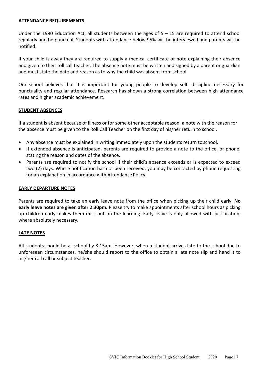# **ATTENDANCE REQUIREMENTS**

Under the 1990 Education Act, all students between the ages of 5 – 15 are required to attend school regularly and be punctual. Students with attendance below 95% will be interviewed and parents will be notified.

If your child is away they are required to supply a medical certificate or note explaining their absence and given to their roll call teacher. The absence note must be written and signed by a parent or guardian and must state the date and reason as to why the child was absent from school.

Our school believes that it is important for young people to develop self- discipline necessary for punctuality and regular attendance. Research has shown a strong correlation between high attendance rates and higher academic achievement.

# **STUDENT ABSENCES**

If a student is absent because of illness or for some other acceptable reason, a note with the reason for the absence must be given to the Roll Call Teacher on the first day of his/her return to school.

- Any absence must be explained in writing immediately upon the students return to school.
- If extended absence is anticipated, parents are required to provide a note to the office, or phone, stating the reason and dates of the absence.
- Parents are required to notify the school if their child's absence exceeds or is expected to exceed two (2) days. Where notification has not been received, you may be contacted by phone requesting for an explanation in accordance with Attendance Policy.

# **EARLY DEPARTURE NOTES**

Parents are required to take an early leave note from the office when picking up their child early. **No early leave notes are given after 2:30pm.** Please try to make appointments after school hours as picking up children early makes them miss out on the learning. Early leave is only allowed with justification, where absolutely necessary.

# **LATE NOTES**

All students should be at school by 8:15am. However, when a student arrives late to the school due to unforeseen circumstances, he/she should report to the office to obtain a late note slip and hand it to his/her roll call or subject teacher.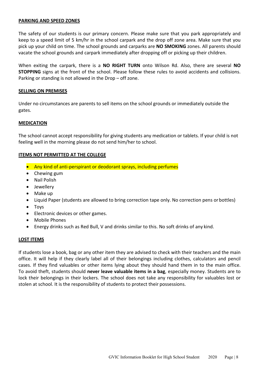# **PARKING AND SPEED ZONES**

The safety of our students is our primary concern. Please make sure that you park appropriately and keep to a speed limit of 5 km/hr in the school carpark and the drop off zone area. Make sure that you pick up your child on time. The school grounds and carparks are **NO SMOKING** zones. All parents should vacate the school grounds and carpark immediately after dropping off or picking up their children.

When exiting the carpark, there is a **NO RIGHT TURN** onto Wilson Rd. Also, there are several **NO STOPPING** signs at the front of the school. Please follow these rules to avoid accidents and collisions. Parking or standing is not allowed in the Drop – off zone.

# **SELLING ON PREMISES**

Under no circumstances are parents to sell items on the school grounds or immediately outside the gates.

# **MEDICATION**

The school cannot accept responsibility for giving students any medication or tablets. If your child is not feeling well in the morning please do not send him/her to school.

# **ITEMS NOT PERMITTED AT THE COLLEGE**

- Any kind of anti-perspirant or deodorant sprays, including perfumes
- Chewing gum
- Nail Polish
- Jewellery
- Make up
- Liquid Paper (students are allowed to bring correction tape only. No correction pens or bottles)
- Toys
- Electronic devices or other games.
- Mobile Phones
- Energy drinks such as Red Bull, V and drinks similar to this. No soft drinks of any kind.

# **LOST ITEMS**

If students lose a book, bag or any other item they are advised to check with their teachers and the main office. It will help if they clearly label all of their belongings including clothes, calculators and pencil cases. If they find valuables or other items lying about they should hand them in to the main office. To avoid theft, students should **never leave valuable items in a bag**, especially money. Students are to lock their belongings in their lockers. The school does not take any responsibility for valuables lost or stolen at school. It is the responsibility of students to protect their possessions.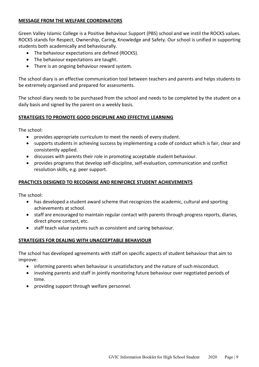# **MESSAGE FROM THE WELFARE COORDINATORS**

Green Valley Islamic College is a Positive Behaviour Support (PBS) school and we instil the ROCKS values. ROCKS stands for Respect, Ownership, Caring, Knowledge and Safety. Our school is unified in supporting students both academically and behaviourally.

- The behaviour expectations are defined (ROCKS).
- The behaviour expectations are taught.
- There is an ongoing behaviour reward system.

The school diary is an effective communication tool between teachers and parents and helps students to be extremely organised and prepared for assessments.

The school diary needs to be purchased from the school and needs to be completed by the student on a daily basis and signed by the parent on a weekly basis.

# **STRATEGIES TO PROMOTE GOOD DISCIPLINE AND EFFECTIVE LEARNING**

The school:

- provides appropriate curriculum to meet the needs of every student.
- supports students in achieving success by implementing a code of conduct which is fair, clear and consistently applied.
- discusses with parents their role in promoting acceptable student behaviour.
- provides programs that develop self-discipline, self-evaluation, communication and conflict resolution skills, e.g. peer support.

# **PRACTICES DESIGNED TO RECOGNISE AND REINFORCE STUDENT ACHIEVEMENTS**

The school:

- has developed a student award scheme that recognizes the academic, cultural and sporting achievements at school.
- staff are encouraged to maintain regular contact with parents through progress reports, diaries, direct phone contact, etc.
- staff teach value systems such as consistent and caring behaviour.

# **STRATEGIES FOR DEALING WITH UNACCEPTABLE BEHAVIOUR**

The school has developed agreements with staff on specific aspects of student behaviour that aim to improve:

- informing parents when behaviour is unsatisfactory and the nature of such misconduct.
- involving parents and staff in jointly monitoring future behaviour over negotiated periods of time.
- providing support through welfare personnel.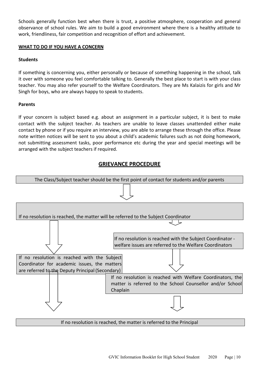Schools generally function best when there is trust, a positive atmosphere, cooperation and general observance of school rules. We aim to build a good environment where there is a healthy attitude to work, friendliness, fair competition and recognition of effort and achievement.

# **WHAT TO DO IF YOU HAVE A CONCERN**

# **Students**

If something is concerning you, either personally or because of something happening in the school, talk it over with someone you feel comfortable talking to. Generally the best place to start is with your class teacher. You may also refer yourself to the Welfare Coordinators. They are Ms Kalaizis for girls and Mr Singh for boys, who are always happy to speak to students.

# **Parents**

If your concern is subject based e.g. about an assignment in a particular subject, it is best to make contact with the subject teacher. As teachers are unable to leave classes unattended either make contact by phone or if you require an interview, you are able to arrange these through the office. Please note written notices will be sent to you about a child's academic failures such as not doing homework, not submitting assessment tasks, poor performance etc during the year and special meetings will be arranged with the subject teachers if required.

# **GRIEVANCE PROCEDURE**



If no resolution is reached, the matter is referred to the Principal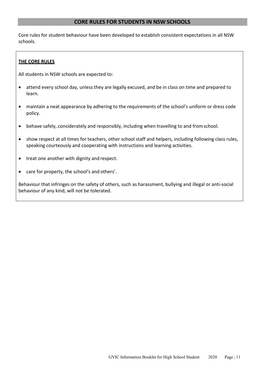# **CORE RULES FOR STUDENTS IN NSW SCHOOLS**

<span id="page-10-0"></span>Core rules for student behaviour have been developed to establish consistent expectations in all NSW schools.

# **THE CORE RULES**

All students in NSW schools are expected to:

- attend every school day, unless they are legally excused, and be in class on time and prepared to learn.
- maintain a neat appearance by adhering to the requirements of the school's uniform or dress code policy.
- behave safely, considerately and responsibly, including when travelling to and fromschool.
- show respect at all times for teachers, other school staff and helpers, including following class rules, speaking courteously and cooperating with instructions and learning activities.
- treat one another with dignity and respect.
- care for property, the school's and others'.

Behaviour that infringes on the safety of others, such as harassment, bullying and illegal or anti-social behaviour of any kind, will not be tolerated.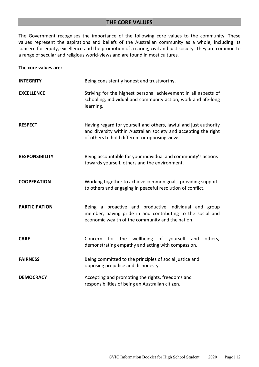# **THE CORE VALUES**

The Government recognises the importance of the following core values to the community. These values represent the aspirations and beliefs of the Australian community as a whole, including its concern for equity, excellence and the promotion of a caring, civil and just society. They are common to a range of secular and religious world-views and are found in most cultures.

# **The core values are:**

| <b>INTEGRITY</b>      | Being consistently honest and trustworthy.                                                                                                                                            |
|-----------------------|---------------------------------------------------------------------------------------------------------------------------------------------------------------------------------------|
| <b>EXCELLENCE</b>     | Striving for the highest personal achievement in all aspects of<br>schooling, individual and community action, work and life-long<br>learning.                                        |
| <b>RESPECT</b>        | Having regard for yourself and others, lawful and just authority<br>and diversity within Australian society and accepting the right<br>of others to hold different or opposing views. |
| <b>RESPONSIBILITY</b> | Being accountable for your individual and community's actions<br>towards yourself, others and the environment.                                                                        |
| <b>COOPERATION</b>    | Working together to achieve common goals, providing support<br>to others and engaging in peaceful resolution of conflict.                                                             |
| <b>PARTICIPATION</b>  | Being a proactive and productive individual and group<br>member, having pride in and contributing to the social and<br>economic wealth of the community and the nation.               |
| <b>CARE</b>           | Concern for the wellbeing of yourself and<br>others,<br>demonstrating empathy and acting with compassion.                                                                             |
| <b>FAIRNESS</b>       | Being committed to the principles of social justice and<br>opposing prejudice and dishonesty.                                                                                         |
| <b>DEMOCRACY</b>      | Accepting and promoting the rights, freedoms and<br>responsibilities of being an Australian citizen.                                                                                  |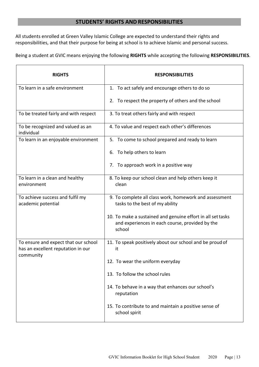# **STUDENTS' RIGHTS AND RESPONSIBILITIES**

<span id="page-12-0"></span>All students enrolled at Green Valley Islamic College are expected to understand their rights and responsibilities, and that their purpose for being at school is to achieve Islamic and personal success.

Being a student at GVIC means enjoying the following **RIGHTS** while accepting the following **RESPONSIBILITIES**.

| <b>RIGHTS</b>                                                                           | <b>RESPONSIBILITIES</b>                                                                                                  |
|-----------------------------------------------------------------------------------------|--------------------------------------------------------------------------------------------------------------------------|
| To learn in a safe environment                                                          | 1. To act safely and encourage others to do so                                                                           |
|                                                                                         | 2. To respect the property of others and the school                                                                      |
| To be treated fairly and with respect                                                   | 3. To treat others fairly and with respect                                                                               |
| To be recognized and valued as an<br>individual                                         | 4. To value and respect each other's differences                                                                         |
| To learn in an enjoyable environment                                                    | 5. To come to school prepared and ready to learn                                                                         |
|                                                                                         | To help others to learn<br>6.                                                                                            |
|                                                                                         | 7. To approach work in a positive way                                                                                    |
| To learn in a clean and healthy<br>environment                                          | 8. To keep our school clean and help others keep it<br>clean                                                             |
| To achieve success and fulfil my<br>academic potential                                  | 9. To complete all class work, homework and assessment<br>tasks to the best of my ability                                |
|                                                                                         | 10. To make a sustained and genuine effort in all set tasks<br>and experiences in each course, provided by the<br>school |
| To ensure and expect that our school<br>has an excellent reputation in our<br>community | 11. To speak positively about our school and be proud of<br>it                                                           |
|                                                                                         | 12. To wear the uniform everyday                                                                                         |
|                                                                                         | 13. To follow the school rules                                                                                           |
|                                                                                         | 14. To behave in a way that enhances our school's<br>reputation                                                          |
|                                                                                         | 15. To contribute to and maintain a positive sense of<br>school spirit                                                   |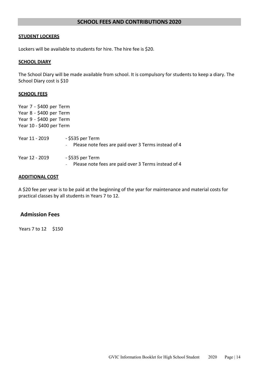# **SCHOOL FEES AND CONTRIBUTIONS 2020**

# **STUDENT LOCKERS**

Lockers will be available to students for hire. The hire fee is \$20.

# **SCHOOL DIARY**

The School Diary will be made available from school. It is compulsory for students to keep a diary. The School Diary cost is \$10

# <span id="page-13-0"></span>**SCHOOL FEES**

| Year 7 - \$400 per Term  |                                                                           |
|--------------------------|---------------------------------------------------------------------------|
| Year 8 - \$400 per Term  |                                                                           |
| Year 9 - \$400 per Term  |                                                                           |
| Year 10 - \$400 per Term |                                                                           |
| Year 11 - 2019           | - \$535 per Term<br>Please note fees are paid over 3 Terms instead of 4   |
| Year 12 - 2019           | - \$535 per Term<br>- Please note fees are paid over 3 Terms instead of 4 |

# **ADDITIONAL COST**

A \$20 fee per year is to be paid at the beginning of the year for maintenance and material costs for practical classes by all students in Years 7 to 12.

# **Admission Fees**

Years 7 to 12 \$150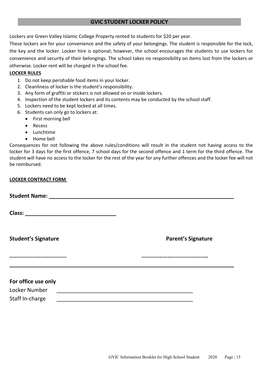# **GVIC STUDENT LOCKER POLICY**

Lockers are Green Valley Islamic College Property rented to students for \$20 per year.

These lockers are for your convenience and the safety of your belongings. The student is responsible for the lock, the key and the locker. Locker hire is optional; however, the school encourages the students to use lockers for convenience and security of their belongings. The school takes no responsibility on items lost from the lockers or otherwise. Locker rent will be charged in the school fee.

# **LOCKER RULES**

- 1. Do not keep perishable food items in your locker.
- 2. Cleanliness of locker is the student's responsibility.
- 3. Any form of graffiti or stickers is not allowed on or inside lockers.
- 4. Inspection of the student lockers and its contents may be conducted by the school staff.
- 5. Lockers need to be kept locked at all times.
- 6. Students can only go to lockers at:
	- First morning bell
	- Recess
	- Lunchtime
	- Home bell

Consequences for not following the above rules/conditions will result in the student not having access to the locker for 3 days for the first offence, 7 school days for the second offence and 1 term for the third offence. The student will have no access to the locker for the rest of the year for any further offences and the locker fee will not be reimbursed.

# **LOCKER CONTRACT FORM**

| <b>Student's Signature</b> | <b>Parent's Signature</b> |
|----------------------------|---------------------------|
|                            |                           |
| For office use only        |                           |
| Locker Number              |                           |
| Staff In-charge            |                           |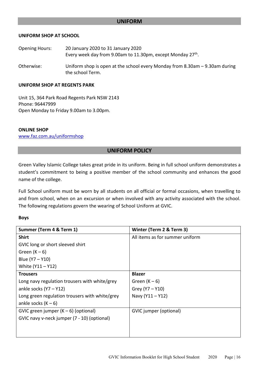# **UNIFORM**

# **UNIFORM SHOP AT SCHOOL**

| <b>Opening Hours:</b> | 20 January 2020 to 31 January 2020<br>Every week day from 9.00am to 11.30pm, except Monday 27 <sup>th</sup> . |
|-----------------------|---------------------------------------------------------------------------------------------------------------|
| Otherwise:            | Uniform shop is open at the school every Monday from 8.30am $-$ 9.30am during<br>the school Term.             |

# **UNIFORM SHOP AT REGENTS PARK**

Unit 15, 364 Park Road Regents Park NSW 2143 Phone: 96447999 Open Monday to Friday 9.00am to 3.00pm.

# **ONLINE SHOP**

[www.faz.com.au/uniformshop](http://www.faz.com.au/uniformshop)

# **UNIFORM POLICY**

Green Valley Islamic College takes great pride in its uniform. Being in full school uniform demonstrates a student's commitment to being a positive member of the school community and enhances the good name of the college.

Full School uniform must be worn by all students on all official or formal occasions, when travelling to and from school, when on an excursion or when involved with any activity associated with the school. The following regulations govern the wearing of School Uniform at GVIC.

# **Boys**

| Summer (Term 4 & Term 1)                       | Winter (Term 2 & Term 3)        |
|------------------------------------------------|---------------------------------|
| <b>Shirt</b>                                   | All items as for summer uniform |
| GVIC long or short sleeved shirt               |                                 |
| Green $(K - 6)$                                |                                 |
| Blue (Y7 – Y10)                                |                                 |
| White (Y11 - Y12)                              |                                 |
| <b>Trousers</b>                                | <b>Blazer</b>                   |
| Long navy regulation trousers with white/grey  | Green $(K - 6)$                 |
| ankle socks $(Y7 - Y12)$                       | Grey (Y7 - Y10)                 |
| Long green regulation trousers with white/grey | Navy (Y11 - Y12)                |
| ankle socks $(K - 6)$                          |                                 |
| GVIC green jumper $(K - 6)$ (optional)         | GVIC jumper (optional)          |
| GVIC navy v-neck jumper (7 - 10) (optional)    |                                 |
|                                                |                                 |
|                                                |                                 |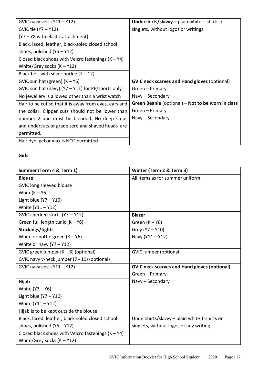| GVIC navy vest $(Y11 - Y12)$                          | <b>Undershirts/skivvy</b> – plain white T-shirts or |
|-------------------------------------------------------|-----------------------------------------------------|
| GVIC tie (Y7 – Y12)                                   | singlets, without logos or writings                 |
| [Y7 - Y8 with elastic attachment]                     |                                                     |
| Black, laced, leather, black-soled closed school      |                                                     |
| shoes, polished $(Y5 - Y12)$                          |                                                     |
| Closed black shoes with Velcro fastenings $(K - Y4)$  |                                                     |
| White/Grey socks $(K - Y12)$                          |                                                     |
| Black belt with silver buckle $(7 – 12)$              |                                                     |
| GVIC sun hat (green) $(K - Y6)$                       | <b>GVIC neck scarves and Hand gloves (optional)</b> |
| GVIC sun hat (navy) ( $Y7 - Y11$ ) for PE/sports only | Green - Primary                                     |
| No jewellery is allowed other than a wrist watch      | Navy - Secondary                                    |
| Hair to be cut so that it is away from eyes, ears and | Green Beanie (optional) – Not to be worn in class   |
| the collar. Clipper cuts should not be lower than     | Green - Primary                                     |
| number 2 and must be blended. No deep steps           | Navy – Secondary                                    |
| and undercuts or grade zero and shaved heads are      |                                                     |
| permitted.                                            |                                                     |
| Hair dye, gel or wax is NOT permitted                 |                                                     |

# **Girls**

| Summer (Term 4 & Term 1)                             | Winter (Term 2 & Term 3)                            |
|------------------------------------------------------|-----------------------------------------------------|
| <b>Blouse</b>                                        | All items as for summer uniform                     |
| GVIC long sleeved blouse                             |                                                     |
| White $(K - Y6)$                                     |                                                     |
| Light blue $(Y7 - Y10)$                              |                                                     |
| White (Y11 - Y12)                                    |                                                     |
| GVIC checked skirts (Y7 - Y12)                       | <b>Blazer</b>                                       |
| Green full length tunic $(K - Y6)$                   | Green $(K - Y6)$                                    |
| Stockings/tights                                     | Grey (Y7 - Y10)                                     |
| White or bottle green $(K - Y6)$                     | Navy (Y11-Y12)                                      |
| White or navy $(Y7 - Y12)$                           |                                                     |
| GVIC green jumper $(K - 6)$ (optional)               | <b>GVIC</b> jumper (optional)                       |
| GVIC navy v-neck jumper (7 - 10) (optional)          |                                                     |
| GVIC navy vest $(Y11 - Y12)$                         | <b>GVIC neck scarves and Hand gloves (optional)</b> |
|                                                      | Green - Primary                                     |
| Hijab                                                | Navy - Secondary                                    |
| White (Y3 - Y6)                                      |                                                     |
| Light blue $(Y7 - Y10)$                              |                                                     |
| White (Y11 - Y12)                                    |                                                     |
| Hijab is to be kept outside the blouse               |                                                     |
| Black, laced, leather, black-soled closed school     | Undershirts/skivvy - plain white T-shirts or        |
| shoes, polished (Y5 - Y12)                           | singlets, without logos or any writing              |
| Closed black shoes with Velcro fastenings $(K - Y4)$ |                                                     |
| White/Grey socks $(K - Y12)$                         |                                                     |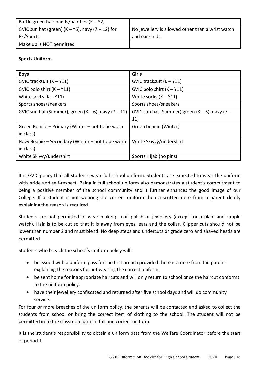| Bottle green hair bands/hair ties $(K - Y2)$          |                                                  |
|-------------------------------------------------------|--------------------------------------------------|
| GVIC sun hat (green) $(K - Y6)$ , navy $(7 - 12)$ for | No jewellery is allowed other than a wrist watch |
| PE/Sports                                             | and ear studs                                    |
| Make up is NOT permitted                              |                                                  |
|                                                       |                                                  |

# **Sports Uniform**

| <b>Boys</b>                                              | Girls                                           |
|----------------------------------------------------------|-------------------------------------------------|
| GVIC tracksuit $(K - Y11)$                               | GVIC tracksuit $(K - Y11)$                      |
| GVIC polo shirt $(K - Y11)$                              | GVIC polo shirt $(K - Y11)$                     |
| White socks $(K - Y11)$                                  | White socks $(K - Y11)$                         |
| Sports shoes/sneakers                                    | Sports shoes/sneakers                           |
| GVIC sun hat (Summer), green $(K - 6)$ , navy $(7 - 11)$ | GVIC sun hat (Summer) green $(K-6)$ , navy (7 - |
|                                                          | 11)                                             |
| Green Beanie – Primary (Winter – not to be worn          | Green beanie (Winter)                           |
| in class)                                                |                                                 |
| Navy Beanie - Secondary (Winter - not to be worn         | White Skivvy/undershirt                         |
| in class)                                                |                                                 |
| White Skivvy/undershirt                                  | Sports Hijab (no pins)                          |

It is GVIC policy that all students wear full school uniform. Students are expected to wear the uniform with pride and self-respect. Being in full school uniform also demonstrates a student's commitment to being a positive member of the school community and it further enhances the good image of our College. If a student is not wearing the correct uniform then a written note from a parent clearly explaining the reason is required.

Students are not permitted to wear makeup, nail polish or jewellery (except for a plain and simple watch). Hair is to be cut so that it is away from eyes, ears and the collar. Clipper cuts should not be lower than number 2 and must blend. No deep steps and undercuts or grade zero and shaved heads are permitted.

Students who breach the school's uniform policy will:

- be issued with a uniform pass for the first breach provided there is a note from the parent explaining the reasons for not wearing the correct uniform.
- be sent home for inappropriate haircuts and will only return to school once the haircut conforms to the uniform policy.
- have their jewellery confiscated and returned after five school days and will do community service.

For four or more breaches of the uniform policy, the parents will be contacted and asked to collect the students from school or bring the correct item of clothing to the school. The student will not be permitted in to the classroom until in full and correct uniform.

It is the student's responsibility to obtain a uniform pass from the Welfare Coordinator before the start of period 1.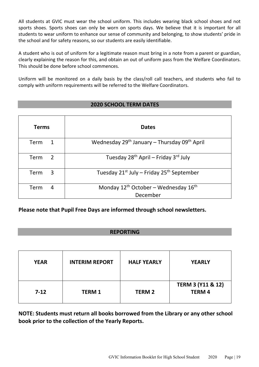All students at GVIC must wear the school uniform. This includes wearing black school shoes and not sports shoes. Sports shoes can only be worn on sports days. We believe that it is important for all students to wear uniform to enhance our sense of community and belonging, to show students' pride in the school and for safety reasons, so our students are easily identifiable.

A student who is out of uniform for a legitimate reason must bring in a note from a parent or guardian, clearly explaining the reason for this, and obtain an out of uniform pass from the Welfare Coordinators. This should be done before school commences.

Uniform will be monitored on a daily basis by the class/roll call teachers, and students who fail to comply with uniform requirements will be referred to the Welfare Coordinators.

# **2020 SCHOOL TERM DATES**

| <b>Terms</b> | <b>Dates</b>                                                         |
|--------------|----------------------------------------------------------------------|
| Term         | Wednesday 29 <sup>th</sup> January - Thursday 09 <sup>th</sup> April |
| 2<br>Term    | Tuesday 28 <sup>th</sup> April – Friday 3 <sup>rd</sup> July         |
| 3<br>Term    | Tuesday 21 <sup>st</sup> July – Friday 25 <sup>th</sup> September    |
| Term<br>4    | Monday $12^{th}$ October – Wednesday $16^{th}$<br>December           |

# **Please note that Pupil Free Days are informed through school newsletters.**

# **REPORTING**

| <b>YEAR</b> | <b>INTERIM REPORT</b> | <b>HALF YEARLY</b> | <b>YEARLY</b>                                |
|-------------|-----------------------|--------------------|----------------------------------------------|
| $7-12$      | <b>TERM1</b>          | <b>TERM 2</b>      | <b>TERM 3 (Y11 &amp; 12)</b><br><b>TERM4</b> |

**NOTE: Students must return all books borrowed from the Library or any other school book prior to the collection of the Yearly Reports.**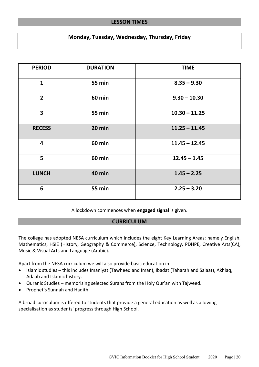# **LESSON TIMES**

# **Monday, Tuesday, Wednesday, Thursday, Friday**

<span id="page-19-0"></span>

| <b>PERIOD</b>           | <b>DURATION</b> | <b>TIME</b>     |
|-------------------------|-----------------|-----------------|
| $\mathbf{1}$            | <b>55 min</b>   | $8.35 - 9.30$   |
| $\overline{2}$          | <b>60 min</b>   | $9.30 - 10.30$  |
| $\overline{\mathbf{3}}$ | <b>55 min</b>   | $10.30 - 11.25$ |
| <b>RECESS</b>           | 20 min          | $11.25 - 11.45$ |
| $\overline{\mathbf{4}}$ | <b>60 min</b>   | $11.45 - 12.45$ |
| 5                       | <b>60 min</b>   | $12.45 - 1.45$  |
| <b>LUNCH</b>            | <b>40 min</b>   | $1.45 - 2.25$   |
| 6                       | <b>55 min</b>   | $2.25 - 3.20$   |

A lockdown commences when **engaged signal** is given.

# **CURRICULUM**

<span id="page-19-1"></span>The college has adopted NESA curriculum which includes the eight Key Learning Areas; namely English, Mathematics, HSIE (History, Geography & Commerce), Science, Technology, PDHPE, Creative Arts(CA), Music & Visual Arts and Language (Arabic).

Apart from the NESA curriculum we will also provide basic education in:

- Islamic studies this includes Imaniyat (Tawheed and Iman), Ibadat (Taharah and Salaat), Akhlaq, Adaab and Islamic history.
- Quranic Studies memorising selected Surahs from the Holy Qur'an with Tajweed.
- Prophet's Sunnah and Hadith.

A broad curriculum is offered to students that provide a general education as well as allowing specialisation as students' progress through High School.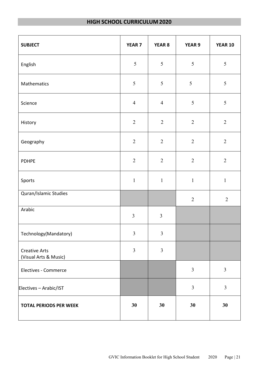# **HIGH SCHOOL CURRICULUM 2020**

| <b>SUBJECT</b>                                | <b>YEAR 7</b>  | YEAR 8         | <b>YEAR 9</b>  | <b>YEAR 10</b> |
|-----------------------------------------------|----------------|----------------|----------------|----------------|
| English                                       | 5              | 5              | 5              | $\sqrt{5}$     |
| Mathematics                                   | 5              | $\mathfrak{S}$ | $\mathfrak{S}$ | $\sqrt{5}$     |
| Science                                       | $\overline{4}$ | $\overline{4}$ | 5              | $\sqrt{5}$     |
| History                                       | $\overline{2}$ | $\sqrt{2}$     | $\overline{2}$ | $\sqrt{2}$     |
| Geography                                     | $\overline{2}$ | $\overline{2}$ | $\overline{2}$ | $\sqrt{2}$     |
| <b>PDHPE</b>                                  | $\overline{2}$ | $\overline{2}$ | $\overline{2}$ | $\sqrt{2}$     |
| Sports                                        | $\mathbf{1}$   | $\mathbf{1}$   | $\mathbf{1}$   | $\mathbf{1}$   |
| Quran/Islamic Studies                         |                |                | $\sqrt{2}$     | $\overline{2}$ |
| Arabic                                        | $\overline{3}$ | $\overline{3}$ |                |                |
| Technology(Mandatory)                         | $\overline{3}$ | $\overline{3}$ |                |                |
| <b>Creative Arts</b><br>(Visual Arts & Music) | $\overline{3}$ | $\mathfrak{Z}$ |                |                |
| Electives - Commerce                          |                |                | $\mathfrak{Z}$ | $\mathfrak{Z}$ |
| Electives - Arabic/IST                        |                |                | $\overline{3}$ | $\overline{3}$ |
| <b>TOTAL PERIODS PER WEEK</b>                 | 30             | 30             | 30             | 30             |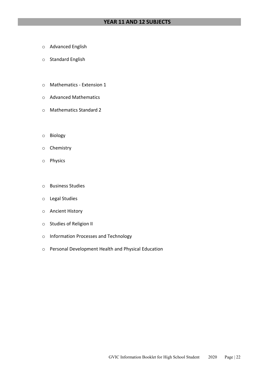# **YEAR 11 AND 12 SUBJECTS**

- o Advanced English
- o Standard English
- o Mathematics Extension 1
- o Advanced Mathematics
- o Mathematics Standard 2
- o Biology
- o Chemistry
- o Physics
- o Business Studies
- o Legal Studies
- o Ancient History
- o Studies of Religion II
- o Information Processes and Technology
- o Personal Development Health and Physical Education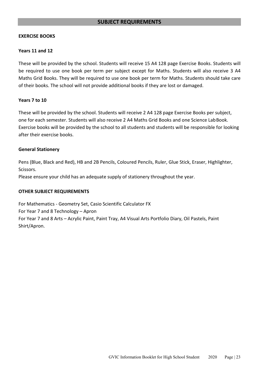# **SUBJECT REQUIREMENTS**

# <span id="page-22-0"></span>**EXERCISE BOOKS**

# **Years 11 and 12**

These will be provided by the school. Students will receive 15 A4 128 page Exercise Books. Students will be required to use one book per term per subject except for Maths. Students will also receive 3 A4 Maths Grid Books. They will be required to use one book per term for Maths. Students should take care of their books. The school will not provide additional books if they are lost or damaged.

# **Years 7 to 10**

These will be provided by the school. Students will receive 2 A4 128 page Exercise Books per subject, one for each semester. Students will also receive 2 A4 Maths Grid Books and one Science LabBook. Exercise books will be provided by the school to all students and students will be responsible for looking after their exercise books.

# **General Stationery**

Pens (Blue, Black and Red), HB and 2B Pencils, Coloured Pencils, Ruler, Glue Stick, Eraser, Highlighter, Scissors.

Please ensure your child has an adequate supply of stationery throughout the year.

# **OTHER SUBJECT REQUIREMENTS**

For Mathematics - Geometry Set, Casio Scientific Calculator FX For Year 7 and 8 Technology – Apron For Year 7 and 8 Arts – Acrylic Paint, Paint Tray, A4 Visual Arts Portfolio Diary, Oil Pastels, Paint Shirt/Apron.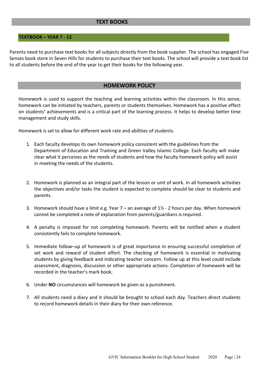# **TEXT BOOKS**

# **TEXTBOOK – YEAR 7 - 12**

Parents need to purchase text books for all subjects directly from the book supplier. The school has engaged Five Senses book store in Seven Hills for students to purchase their text books. The school will provide a text book list to all students before the end of the year to get their books for the following year.

# **HOMEWORK POLICY**

<span id="page-23-0"></span>Homework is used to support the teaching and learning activities within the classroom. In this sense, homework can be initiated by teachers, parents or students themselves. Homework has a positive effect on students' achievements and is a critical part of the learning process. It helps to develop better time management and study skills.

Homework is set to allow for different work rate and abilities of students.

- 1. Each faculty develops its own homework policy consistent with the guidelines from the Department of Education and Training and Green Valley Islamic College. Each faculty will make clear what it perceives as the needs of students and how the faculty homework policy will assist in meeting the needs of the students.
- 2. Homework is planned as an integral part of the lesson or unit of work. In all homework activities the objectives and/or tasks the student is expected to complete should be clear to students and parents.
- 3. Homework should have a limit e.g. Year  $7 -$  an average of  $1\frac{1}{2} 2$  hours per day. When homework cannot be completed a note of explanation from parents/guardians isrequired.
- 4. A penalty is imposed for not completing homework. Parents will be notified when a student consistently fails to complete homework.
- 5. Immediate follow–up of homework is of great importance in ensuring successful completion of set work and reward of student effort. The checking of homework is essential in motivating students by giving feedback and indicating teacher concern. Follow up at this level could include assessment, diagnosis, discussion or other appropriate actions. Completion of homework will be recorded in the teacher's mark book.
- 6. Under **NO** circumstances will homework be given as a punishment.
- 7. All students need a diary and it should be brought to school each day. Teachers direct students to record homework details in their diary for their own reference.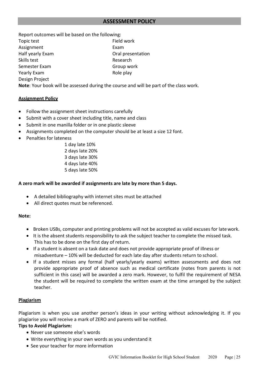<span id="page-24-0"></span>Report outcomes will be based on the following: Topic test **Field work** Assignment Exam Half yearly Exam **Drawing Communist Communist Communist Communist Communist Communist Communist Communist Communist Communist Communist Communist Communist Communist Communist Communist Communist Communist Communist Commun** Skills test **Research** Semester Exam Group work Yearly Exam and Role play Design Project

**Note**: Your book will be assessed during the course and will be part of the class work.

# **Assignment Policy**

- Follow the assignment sheet instructions carefully
- Submit with a cover sheet including title, name and class
- Submit in one manilla folder or in one plastic sleeve
- Assignments completed on the computer should be at least a size 12 font.
- Penalties for lateness
	- 1 day late 10% 2 days late 20% 3 days late 30% 4 days late 40% 5 days late 50%

# **A zero mark will be awarded if assignments are late by more than 5 days.**

- A detailed bibliography with internet sites must be attached
- All direct quotes must be referenced.

# **Note:**

- Broken USBs, computer and printing problems will not be accepted as valid excuses for latework.
- It is the absent students responsibility to ask the subject teacher to complete the missed task. This has to be done on the first day of return.
- If a student is absent on a task date and does not provide appropriate proof of illness or misadventure – 10% will be deducted for each late day after students return to school.
- If a student misses any formal (half yearly/yearly exams) written assessments and does not provide appropriate proof of absence such as medical certificate (notes from parents is not sufficient in this case) will be awarded a zero mark. However, to fulfil the requirement of NESA the student will be required to complete the written exam at the time arranged by the subject teacher.

# **Plagiarism**

Plagiarism is when you use another person's ideas in your writing without acknowledging it. If you plagiarise you will receive a mark of ZERO and parents will be notified.

# **Tips to Avoid Plagiarism:**

- Never use someone else's words
- Write everything in your own words as you understand it
- See your teacher for more information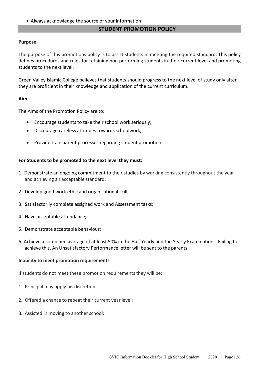• Always acknowledge the source of your information

# **STUDENT PROMOTION POLICY**

# <span id="page-25-0"></span>**Purpose**

The purpose of this promotions policy is to assist students in meeting the required standard. This policy defines procedures and rules for retaining non performing students in their current level and promoting students to the next level.

Green Valley Islamic College believes that students should progress to the next level of study only after they are proficient in their knowledge and application of the current curriculum.

# **Aim**

The Aims of the Promotion Policy are to:

- Encourage students to take their school work seriously;
- Discourage careless attitudes towards schoolwork;
- Provide transparent processes regarding student promotion.

# **For Students to be promoted to the next level they must:**

- 1. Demonstrate an ongoing commitment to their studies by working consistently throughout the year and achieving an acceptable standard;
- 2. Develop good work ethic and organisational skills;
- 3. Satisfactorily complete assigned work and Assessment tasks;
- 4. Have acceptable attendance;
- 5. Demonstrate acceptable behaviour;
- 6. Achieve a combined average of at least 50% in the Half Yearly and the Yearly Examinations. Failing to achieve this, An Unsatisfactory Performance letter will be sent to the parents.

# **Inability to meet promotion requirements**

If students do not meet these promotion requirements they will be:

- 1. Principal may apply his discretion;
- 2. Offered a chance to repeat their current year level;
- 3. Assisted in moving to another school;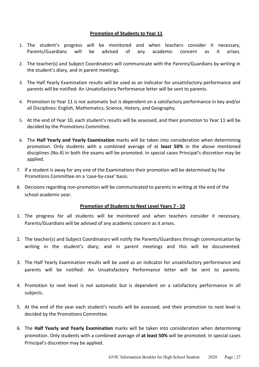# **Promotion of Students to Year 11**

- 1. The student's progress will be monitored and when teachers consider it necessary, Parents/Guardians will be advised of any academic concern as it arises.
- 2. The teacher(s) and Subject Coordinators will communicate with the Parents/Guardians by writing in the student's diary, and in parent meetings.
- 3. The Half Yearly Examination results will be used as an indicator for unsatisfactory performance and parents will be notified: An Unsatisfactory Performance letter will be sent to parents.
- 4. Promotion to Year 11 is not automatic but is dependent on a satisfactory performance in key and/or all Disciplines: English, Mathematics, Science, History, and Geography.
- 5. At the end of Year 10, each student's results will be assessed, and their promotion to Year 11 will be decided by the Promotions Committee.
- 6. The **Half Yearly and Yearly Examination** marks will be taken into consideration when determining promotion. Only students with a combined average of at **least 50%** in the above mentioned disciplines (No.4) in both the exams will be promoted. In special cases Principal's discretion may be applied.
- 7. If a student is away for any one of the Examinations their promotion will be determined by the Promotions Committee on a 'case-by-case' basis.
- 8. Decisions regarding non-promotion will be communicated to parents in writing at the end of the school academic year.

# **Promotion of Students to Next Level Years 7 - 10**

- 1. The progress for all students will be monitored and when teachers consider it necessary, Parents/Guardians will be advised of any academic concern as it arises.
- 2. The teacher(s) and Subject Coordinators will notify the Parents/Guardians through communication by writing in the student's diary, and in parent meetings and this will be documented.
- 3. The Half Yearly Examination results will be used as an indicator for unsatisfactory performance and parents will be notified: An Unsatisfactory Performance letter will be sent to parents.
- 4. Promotion to next level is not automatic but is dependent on a satisfactory performance in all subjects.
- 5. At the end of the year each student's results will be assessed, and their promotion to next level is decided by the Promotions Committee.
- 6. The **Half Yearly and Yearly Examination** marks will be taken into consideration when determining promotion. Only students with a combined average of **at least 50%** will be promoted. In special cases Principal's discretion may be applied.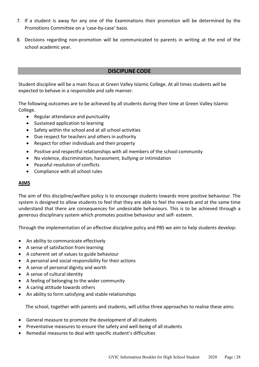- 7. If a student is away for any one of the Examinations their promotion will be determined by the Promotions Committee on a 'case-by-case' basis.
- 8. Decisions regarding non-promotion will be communicated to parents in writing at the end of the school academic year.

# **DISCIPLINE CODE**

<span id="page-27-0"></span>Student discipline will be a main focus at Green Valley Islamic College. At all times students will be expected to behave in a responsible and safe manner.

The following outcomes are to be achieved by all students during their time at Green Valley Islamic College.

- Regular attendance and punctuality
- Sustained application to learning
- Safety within the school and at all school activities
- Due respect for teachers and others in authority
- Respect for other individuals and their property
- Positive and respectful relationships with all members of the school community
- No violence, discrimination, harassment, bullying or intimidation
- Peaceful resolution of conflicts
- Compliance with all school rules

# **AIMS**

The aim of this discipline/welfare policy is to encourage students towards more positive behaviour. The system is designed to allow students to feel that they are able to feel the rewards and at the same time understand that there are consequences for undesirable behaviours. This is to be achieved through a generous disciplinary system which promotes positive behaviour and self- esteem.

Through the implementation of an effective discipline policy and PBS we aim to help students develop:

- An ability to communicate effectively
- A sense of satisfaction from learning
- A coherent set of values to guide behaviour
- A personal and social responsibility for their actions
- A sense of personal dignity and worth
- A sense of cultural identity
- A feeling of belonging to the wider community
- A caring attitude towards others
- An ability to form satisfying and stable relationships

The school, together with parents and students, will utilise three approaches to realise these aims:

- General measure to promote the development of all students
- Preventative measures to ensure the safety and well-being of all students
- Remedial measures to deal with specific student's difficulties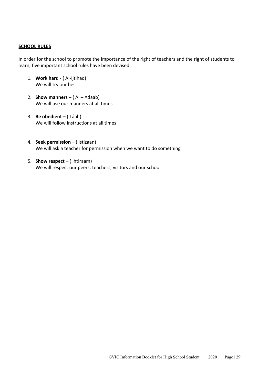# **SCHOOL RULES**

In order for the school to promote the importance of the right of teachers and the right of students to learn, five important school rules have been devised:

- 1. **Work hard**  ( Al-Ijtihad) We will try our best
- 2. **Show manners**  ( Al Adaab) We will use our manners at all times
- 3. **Be obedient**  ( Táah) We will follow instructions at all times
- 4. **Seek permission**  ( Istizaan) We will ask a teacher for permission when we want to do something
- 5. **Show respect**  ( Ihtiraam) We will respect our peers, teachers, visitors and our school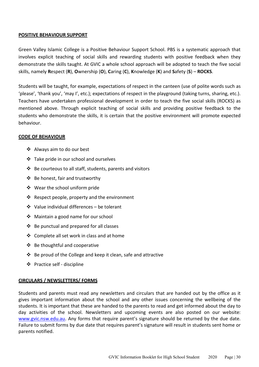# **POSITIVE BEHAVIOUR SUPPORT**

Green Valley Islamic College is a Positive Behaviour Support School. PBS is a systematic approach that involves explicit teaching of social skills and rewarding students with positive feedback when they demonstrate the skills taught. At GVIC a whole school approach will be adopted to teach the five social skills, namely **R**espect (**R**), **O**wnership (**O**), **C**aring (**C**), **K**nowledge (**K**) and **S**afety (**S**) – **ROCKS**.

Students will be taught, for example, expectations of respect in the canteen (use of polite words such as 'please', 'thank you', 'may I', etc.); expectations of respect in the playground (taking turns, sharing, etc.). Teachers have undertaken professional development in order to teach the five social skills (ROCKS) as mentioned above. Through explicit teaching of social skills and providing positive feedback to the students who demonstrate the skills, it is certain that the positive environment will promote expected behaviour.

# **CODE OF BEHAVIOUR**

- Always aim to do our best
- $\cdot$  Take pride in our school and ourselves
- $\triangle$  Be courteous to all staff, students, parents and visitors
- Be honest, fair and trustworthy
- Wear the school uniform pride
- Respect people, property and the environment
- Value individual differences be tolerant
- ❖ Maintain a good name for our school
- $\div$  Be punctual and prepared for all classes
- ❖ Complete all set work in class and at home
- ❖ Be thoughtful and cooperative
- $\cdot$  Be proud of the College and keep it clean, safe and attractive
- Practice self discipline

# **CIRCULARS / NEWSLETTERS/ FORMS**

Students and parents must read any newsletters and circulars that are handed out by the office as it gives important information about the school and any other issues concerning the wellbeing of the students. It is important that these are handed to the parents to read and get informed about the day to day activities of the school. Newsletters and upcoming events are also posted on our website: [www.gvic.nsw.edu.au.](http://www.gvic.nsw.edu.au/) Any forms that require parent's signature should be returned by the due date. Failure to submit forms by due date that requires parent's signature will result in students sent home or parents notified.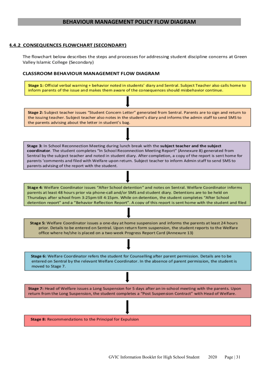# **BEHAVIOUR MANAGEMENT POLICY FLOW DIAGRAM**

## <span id="page-30-0"></span>**4.4.2 CONSEQUENCES FLOWCHART (SECONDARY)**

The flowchart below describes the steps and processes for addressing student discipline concerns at Green Valley Islamic College (Secondary)

### **CLASSROOM BEHAVIOUR MANAGEMENT FLOW DIAGRAM**

Stage 1: Official verbal warning + behavior noted in students' diary and Sentral. Subject Teacher also calls home to inform parents of the issue and makes them aware of the consequences should misbehavior continue.

Stage 2: Subject teacher issues "Student Concern Letter" generated from Sentral. Parents are to sign and return to the issuing teacher. Subject teacher also notes in the student's diary and informs the admin staff to send SMS to the parents advising about the letter in student's bag.

Stage 3: In School Reconnection Meeting during lunch break with the subject teacher and the subject coordinator. The student completes "In School Reconnection Meeting Report" (Annexure 8) generated from Sentral by the subject teacher and noted in student diary. After completion, a copy of the report is sent home for parents 'comments and filed with Welfare upon return. Subject teacher to inform Admin staff to send SMS to parents advising of the report with the student.

Stage 4: Welfare Coordinator issues "After School detention" and notes on Sentral. Welfare Coordinator informs parents at least 48 hours prior via phone-call and/or SMS and student diary. Detentions are to be held on Thursdays after school from 3:25pm till 4:15pm. While on detention, the student completes "After School detention report" and a "Behavior Reflection Report". A copy of this report is sent home with the student and filed

Stage 5: Welfare Coordinator issues a one-day at home suspension and informs the parents at least 24 hours prior. Details to be entered on Sentral. Upon return form suspension, the student reports to the Welfare office where he/she is placed on a two week Progress Report Card (Annexure 13)

Stage 6: Welfare Coordinator refers the student for Counselling after parent permission. Details are to be entered on Sentral by the relevant Welfare Coordinator. In the absence of parent permission, the student is moved to Stage 7.

Stage 7: Head of Welfare issues a Long Suspension for 5 days after an in-school meeting with the parents. Upon return from the Long Suspension, the student completes a "Post Suspension Contract" with Head of Welfare.

Stage 8: Recommendations to the Principal for Expulsion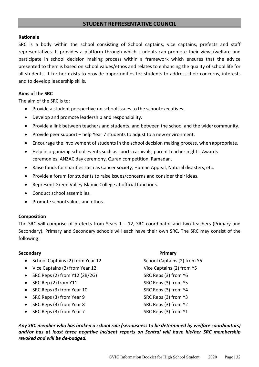# **STUDENT REPRESENTATIVE COUNCIL**

# **Rationale**

SRC is a body within the school consisting of School captains, vice captains, prefects and staff representatives. It provides a platform through which students can promote their views/welfare and participate in school decision making process within a framework which ensures that the advice presented to them is based on school values/ethos and relates to enhancing the quality of school life for all students. It further exists to provide opportunities for students to address their concerns, interests and to develop leadership skills.

# **Aims of the SRC**

The aim of the SRC is to:

- Provide a student perspective on school issues to the school executives.
- Develop and promote leadership and responsibility.
- Provide a link between teachers and students, and between the school and the wider community.
- Provide peer support help Year 7 students to adjust to a new environment.
- Encourage the involvement of students in the school decision making process, when appropriate.
- Help in organizing school events such as sports carnivals, parent teacher nights, Awards ceremonies, ANZAC day ceremony, Quran competition, Ramadan.
- Raise funds for charities such as Cancer society, Human Appeal, Natural disasters, etc.
- Provide a forum for students to raise issues/concerns and consider their ideas.
- Represent Green Valley Islamic College at official functions.
- Conduct school assemblies.
- Promote school values and ethos.

# **Composition**

The SRC will comprise of prefects from Years  $1 - 12$ , SRC coordinator and two teachers (Primary and Secondary). Primary and Secondary schools will each have their own SRC. The SRC may consist of the following:

# **Secondary Primary**

- School Captains (2) from Year 12 School Captains (2) from Y6
- Vice Captains (2) from Year 12 Vice Captains (2) from Y5
- SRC Reps (2) from Y12 (2B/2G) SRC Reps (3) from Y6
- SRC Rep (2) from Y11 SRC Reps (3) from Y5
- SRC Reps (3) from Year 10 SRC Reps (3) from Y4
- SRC Reps (3) from Year 9 SRC Reps (3) from Y3
- SRC Reps (3) from Year 8 SRC Reps (3) from Y2
- SRC Reps (3) from Year 7 SRC Reps (3) from Y1

*Any SRC member who has broken a school rule (seriousness to be determined by welfare coordinators) and/or has at least three negative incident reports on Sentral will have his/her SRC membership revoked and will be de-badged.*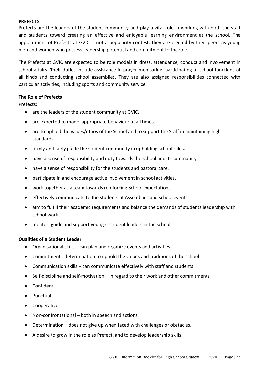# **PREFECTS**

Prefects are the leaders of the student community and play a vital role in working with both the staff and students toward creating an effective and enjoyable learning environment at the school. The appointment of Prefects at GVIC is not a popularity contest, they are elected by their peers as young men and women who possess leadership potential and commitment to the role.

The Prefects at GVIC are expected to be role models in dress, attendance, conduct and involvement in school affairs. Their duties include assistance in prayer monitoring, participating at school functions of all kinds and conducting school assemblies. They are also assigned responsibilities connected with particular activities, including sports and community service.

# **The Role of Prefects**

Prefects:

- are the leaders of the student community at GVIC.
- are expected to model appropriate behaviour at all times.
- are to uphold the values/ethos of the School and to support the Staff in maintaining high standards.
- firmly and fairly guide the student community in upholding school rules.
- have a sense of responsibility and duty towards the school and its community.
- have a sense of responsibility for the students and pastoral care.
- participate in and encourage active involvement in school activities.
- work together as a team towards reinforcing School expectations.
- effectively communicate to the students at Assemblies and school events.
- aim to fulfill their academic requirements and balance the demands of students leadership with school work.
- mentor, guide and support younger student leaders in the school.

# **Qualities of a Student Leader**

- Organisational skills can plan and organize events and activities.
- Commitment determination to uphold the values and traditions of the school
- Communication skills can communicate effectively with staff and students
- Self-discipline and self-motivation in regard to their work and other commitments
- Confident
- Punctual
- Cooperative
- Non-confrontational both in speech and actions.
- Determination does not give up when faced with challenges or obstacles.
- A desire to grow in the role as Prefect, and to develop leadership skills.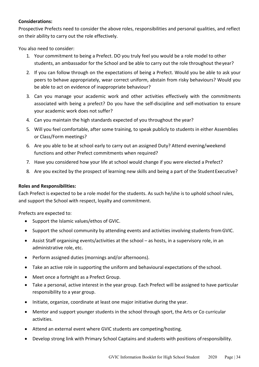# **Considerations:**

Prospective Prefects need to consider the above roles, responsibilities and personal qualities, and reflect on their ability to carry out the role effectively.

You also need to consider:

- 1. Your commitment to being a Prefect. DO you truly feel you would be a role model to other students, an ambassador for the School and be able to carry out the role throughout theyear?
- 2. If you can follow through on the expectations of being a Prefect. Would you be able to ask your peers to behave appropriately, wear correct uniform, abstain from risky behaviours? Would you be able to act on evidence of inappropriate behaviour?
- 3. Can you manage your academic work and other activities effectively with the commitments associated with being a prefect? Do you have the self-discipline and self-motivation to ensure your academic work does not suffer?
- 4. Can you maintain the high standards expected of you throughout the year?
- 5. Will you feel comfortable, after some training, to speak publicly to students in either Assemblies or Class/Form meetings?
- 6. Are you able to be at school early to carry out an assigned Duty? Attend evening/weekend functions and other Prefect commitments when required?
- 7. Have you considered how your life at school would change if you were elected a Prefect?
- 8. Are you excited by the prospect of learning new skills and being a part of the Student Executive?

# **Roles and Responsibilities:**

Each Prefect is expected to be a role model for the students. As such he/she is to uphold school rules, and support the School with respect, loyalty and commitment.

Prefects are expected to:

- Support the Islamic values/ethos of GVIC.
- Support the school community by attending events and activities involving students fromGVIC.
- Assist Staff organising events/activities at the school as hosts, in a supervisory role, in an administrative role, etc.
- Perform assigned duties (mornings and/or afternoons).
- Take an active role in supporting the uniform and behavioural expectations of the school.
- Meet once a fortnight as a Prefect Group.
- Take a personal, active interest in the year group. Each Prefect will be assigned to have particular responsibility to a year group.
- Initiate, organize, coordinate at least one major initiative during the year.
- Mentor and support younger students in the school through sport, the Arts or Co curricular activities.
- Attend an external event where GVIC students are competing/hosting.
- Develop strong link with Primary School Captains and students with positions ofresponsibility.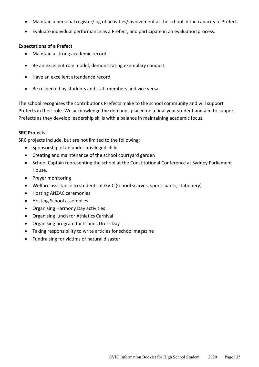- Maintain a personal register/log of activities/involvement at the school in the capacity of Prefect.
- Evaluate individual performance as a Prefect, and participate in an evaluation process.

# **Expectations of a Prefect**

- Maintain a strong academic record.
- Be an excellent role model, demonstrating exemplary conduct.
- Have an excellent attendance record.
- Be respected by students and staff members and vice versa.

The school recognises the contributions Prefects make to the school community and will support Prefects in their role. We acknowledge the demands placed on a final year student and aim to support Prefects as they develop leadership skills with a balance in maintaining academic focus.

# **SRC Projects**

SRC projects include, but are not limited to the following:

- Sponsorship of an under privileged child
- Creating and maintenance of the school courtyard garden
- School Captain representing the school at the Constitutional Conference at Sydney Parliament House.
- Prayer monitoring
- Welfare assistance to students at GVIC (school scarves, sports pants, stationery)
- Hosting ANZAC ceremonies
- Hosting School assemblies
- Organising Harmony Day activities
- Organising lunch for Athletics Carnival
- Organising program for Islamic Dress Day
- Taking responsibility to write articles for school magazine
- Fundraising for victims of natural disaster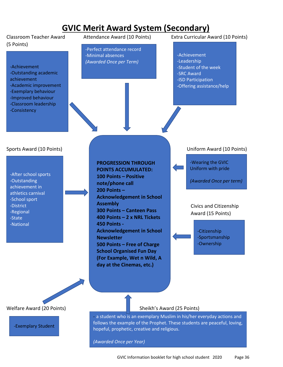# **GVIC Merit Award System (Secondary)**

# (5 Points)

-Achievement -Outstanding academic achievement

- -Academic improvement
- -Exemplary behaviour
- -Improved behaviour
- -Classroom leadership
- -Consistency

-Perfect attendance record -Minimal absences *(Awarded Once per Term)*

Classroom Teacher Award Attendance Award (10 Points) Extra Curricular Award (10 Points)

-Achievement -Leadership -Student of the week -SRC Award -ISD Participation -Offering assistance/help

-After school sports -Outstanding achievement in athletics carnival -School sport -District -Regional -State -National

j



-Exemplary Student

**PROGRESSION THROUGH POINTS ACCUMULATED: 100 Points – Positive note/phone call 200 Points – Acknowledgement in School Assembly 300 Points – Canteen Pass 400 Points – 2 x NRL Tickets 450 Points - Acknowledgement in School Newsletter 500 Points – Free of Charge School Organised Fun Day (For Example, Wet n Wild, A day at the Cinemas, etc.)**

Sports Award (10 Points) Uniform Award (10 Points)

-Wearing the GVIC Uniform with pride

*(Awarded Once per term)*

 Civics and Citizenship Award (15 Points)

> -Citizenship -Sportsmanship -Ownership

- a student who is an exemplary Muslim in his/her everyday actions and follows the example of the Prophet. These students are peaceful, loving, hopeful, prophetic, creative and religious.

*(Awarded Once per Year)*